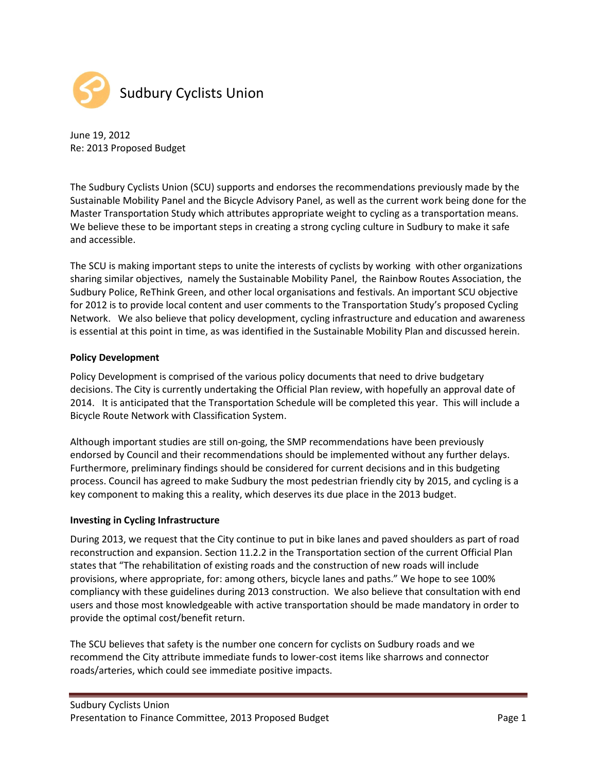

June 19, 2012 Re: 2013 Proposed Budget

The Sudbury Cyclists Union (SCU) supports and endorses the recommendations previously made by the Sustainable Mobility Panel and the Bicycle Advisory Panel, as well as the current work being done for the Master Transportation Study which attributes appropriate weight to cycling as a transportation means. We believe these to be important steps in creating a strong cycling culture in Sudbury to make it safe and accessible.

The SCU is making important steps to unite the interests of cyclists by working with other organizations sharing similar objectives, namely the Sustainable Mobility Panel, the Rainbow Routes Association, the Sudbury Police, ReThink Green, and other local organisations and festivals. An important SCU objective for 2012 is to provide local content and user comments to the Transportation Study's proposed Cycling Network. We also believe that policy development, cycling infrastructure and education and awareness is essential at this point in time, as was identified in the Sustainable Mobility Plan and discussed herein.

# Policy Development

Policy Development is comprised of the various policy documents that need to drive budgetary decisions. The City is currently undertaking the Official Plan review, with hopefully an approval date of 2014. It is anticipated that the Transportation Schedule will be completed this year. This will include a Bicycle Route Network with Classification System.

Although important studies are still on-going, the SMP recommendations have been previously endorsed by Council and their recommendations should be implemented without any further delays. Furthermore, preliminary findings should be considered for current decisions and in this budgeting process. Council has agreed to make Sudbury the most pedestrian friendly city by 2015, and cycling is a key component to making this a reality, which deserves its due place in the 2013 budget.

## Investing in Cycling Infrastructure

During 2013, we request that the City continue to put in bike lanes and paved shoulders as part of road reconstruction and expansion. Section 11.2.2 in the Transportation section of the current Official Plan states that "The rehabilitation of existing roads and the construction of new roads will include provisions, where appropriate, for: among others, bicycle lanes and paths." We hope to see 100% compliancy with these guidelines during 2013 construction. We also believe that consultation with end users and those most knowledgeable with active transportation should be made mandatory in order to provide the optimal cost/benefit return.

The SCU believes that safety is the number one concern for cyclists on Sudbury roads and we recommend the City attribute immediate funds to lower-cost items like sharrows and connector roads/arteries, which could see immediate positive impacts.